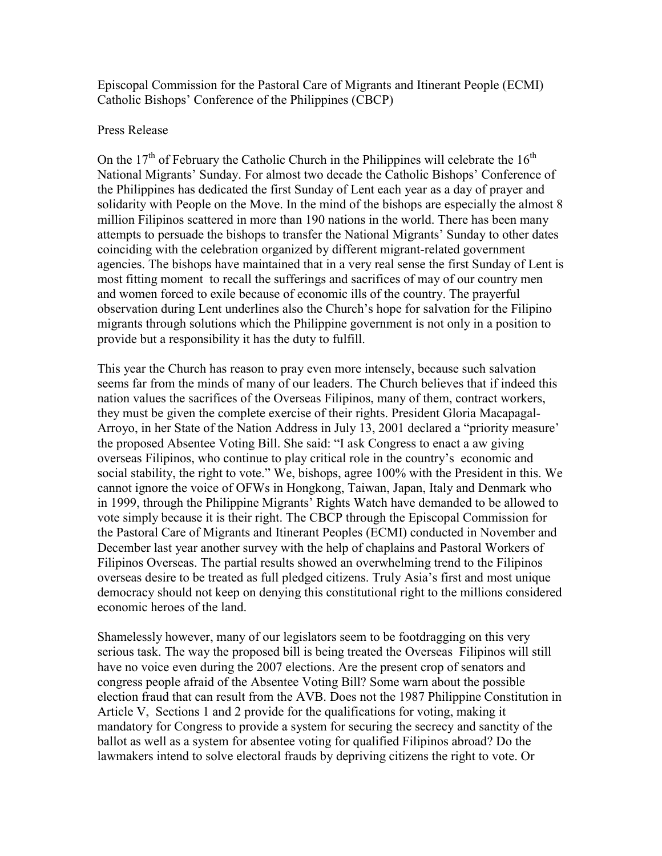Episcopal Commission for the Pastoral Care of Migrants and Itinerant People (ECMI) Catholic Bishops' Conference of the Philippines (CBCP)

## Press Release

On the  $17<sup>th</sup>$  of February the Catholic Church in the Philippines will celebrate the  $16<sup>th</sup>$ National Migrants' Sunday. For almost two decade the Catholic Bishops' Conference of the Philippines has dedicated the first Sunday of Lent each year as a day of prayer and solidarity with People on the Move. In the mind of the bishops are especially the almost 8 million Filipinos scattered in more than 190 nations in the world. There has been many attempts to persuade the bishops to transfer the National Migrants' Sunday to other dates coinciding with the celebration organized by different migrant-related government agencies. The bishops have maintained that in a very real sense the first Sunday of Lent is most fitting moment to recall the sufferings and sacrifices of may of our country men and women forced to exile because of economic ills of the country. The prayerful observation during Lent underlines also the Church's hope for salvation for the Filipino migrants through solutions which the Philippine government is not only in a position to provide but a responsibility it has the duty to fulfill.

This year the Church has reason to pray even more intensely, because such salvation seems far from the minds of many of our leaders. The Church believes that if indeed this nation values the sacrifices of the Overseas Filipinos, many of them, contract workers, they must be given the complete exercise of their rights. President Gloria Macapagal-Arroyo, in her State of the Nation Address in July 13, 2001 declared a "priority measure' the proposed Absentee Voting Bill. She said: "I ask Congress to enact a aw giving overseas Filipinos, who continue to play critical role in the country's economic and social stability, the right to vote." We, bishops, agree 100% with the President in this. We cannot ignore the voice of OFWs in Hongkong, Taiwan, Japan, Italy and Denmark who in 1999, through the Philippine Migrants' Rights Watch have demanded to be allowed to vote simply because it is their right. The CBCP through the Episcopal Commission for the Pastoral Care of Migrants and Itinerant Peoples (ECMI) conducted in November and December last year another survey with the help of chaplains and Pastoral Workers of Filipinos Overseas. The partial results showed an overwhelming trend to the Filipinos overseas desire to be treated as full pledged citizens. Truly Asia's first and most unique democracy should not keep on denying this constitutional right to the millions considered economic heroes of the land.

Shamelessly however, many of our legislators seem to be footdragging on this very serious task. The way the proposed bill is being treated the Overseas Filipinos will still have no voice even during the 2007 elections. Are the present crop of senators and congress people afraid of the Absentee Voting Bill? Some warn about the possible election fraud that can result from the AVB. Does not the 1987 Philippine Constitution in Article V, Sections 1 and 2 provide for the qualifications for voting, making it mandatory for Congress to provide a system for securing the secrecy and sanctity of the ballot as well as a system for absentee voting for qualified Filipinos abroad? Do the lawmakers intend to solve electoral frauds by depriving citizens the right to vote. Or